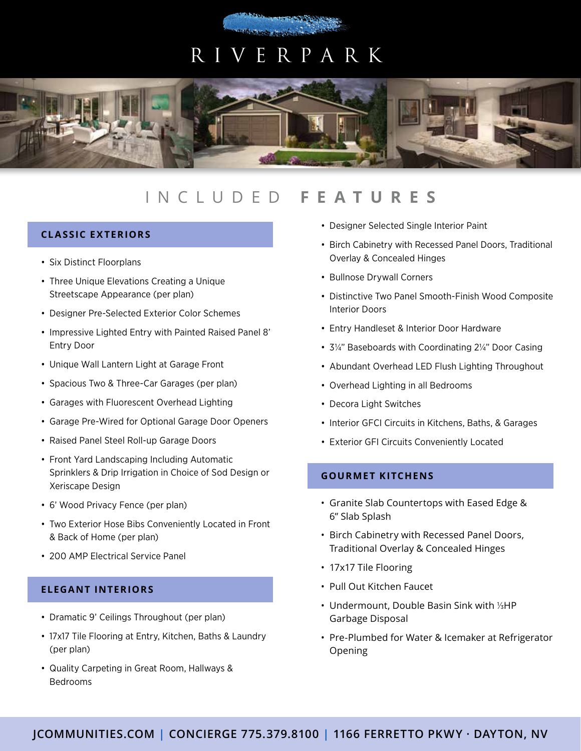# R IVE R P A R K



## INCLUDED **FEATURES**

### **CLASSIC EXTERIORS**

- Six Distinct Floorplans
- Three Unique Elevations Creating a Unique Streetscape Appearance (per plan)
- Designer Pre-Selected Exterior Color Schemes
- Impressive Lighted Entry with Painted Raised Panel 8' Entry Door
- Unique Wall Lantern Light at Garage Front
- Spacious Two & Three-Car Garages (per plan)
- Garages with Fluorescent Overhead Lighting
- Garage Pre-Wired for Optional Garage Door Openers
- Raised Panel Steel Roll-up Garage Doors
- Front Yard Landscaping Including Automatic Sprinklers & Drip Irrigation in Choice of Sod Design or Xeriscape Design
- 6' Wood Privacy Fence (per plan)
- Two Exterior Hose Bibs Conveniently Located in Front & Back of Home (per plan)
- 200 AMP Electrical Service Panel

#### **ELEGANT INTERIORS**

- Dramatic 9' Ceilings Throughout (per plan)
- 17x17 Tile Flooring at Entry, Kitchen, Baths & Laundry (per plan)
- Quality Carpeting in Great Room, Hallways & Bedrooms
- Designer Selected Single Interior Paint
- Birch Cabinetry with Recessed Panel Doors, Traditional Overlay & Concealed Hinges
- Bullnose Drywall Corners
- Distinctive Two Panel Smooth-Finish Wood Composite Interior Doors
- Entry Handleset & Interior Door Hardware
- 3¼" Baseboards with Coordinating 2¼" Door Casing
- Abundant Overhead LED Flush Lighting Throughout
- Overhead Lighting in all Bedrooms
- Decora Light Switches
- Interior GFCI Circuits in Kitchens, Baths, & Garages
- Exterior GFI Circuits Conveniently Located

#### **GOURMET KITCHENS**

- Granite Slab Countertops with Eased Edge & 6" Slab Splash
- Birch Cabinetry with Recessed Panel Doors, Traditional Overlay & Concealed Hinges
- 17x17 Tile Flooring
- Pull Out Kitchen Faucet
- Undermount, Double Basin Sink with 1/3HP Garbage Disposal
- Pre-Plumbed for Water & Icemaker at Refrigerator Opening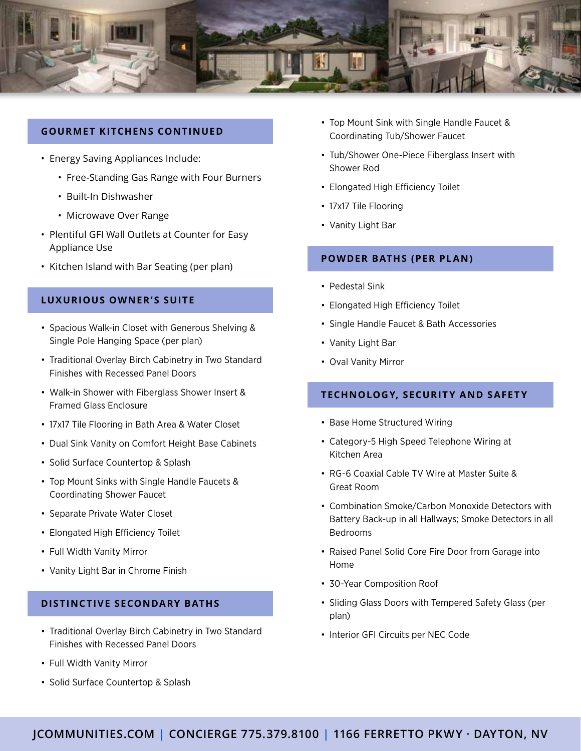

#### **GOURMET KITCHENS CONTINUED**

- Energy Saving Appliances Include:
	- Free-Standing Gas Range with Four Burners
	- Built-In Dishwasher
	- Microwave Over Range
- Plentiful GFI Wall Outlets at Counter for Easy Appliance Use
- Kitchen Island with Bar Seating (per plan)

#### **LUXURIOUS OWNER'S SUITE**

- Spacious Walk-in Closet with Generous Shelving & Single Pole Hanging Space (per plan)
- Traditional Overlay Birch Cabinetry in Two Standard Finishes with Recessed Panel Doors
- Walk-in Shower with Fiberglass Shower Insert & Framed Glass Enclosure
- 17x17 Tile Flooring in Bath Area & Water Closet
- Dual Sink Vanity on Comfort Height Base Cabinets
- Solid Surface Countertop & Splash
- Top Mount Sinks with Single Handle Faucets & Coordinating Shower Faucet
- Separate Private Water Closet
- Elongated High Efficiency Toilet
- Full Width Vanity Mirror
- Vanity Light Bar in Chrome Finish

#### **DISTINCTIVE SECONDARY BATHS**

- Traditional Overlay Birch Cabinetry in Two Standard Finishes with Recessed Panel Doors
- Full Width Vanity Mirror
- Solid Surface Countertop & Splash
- Top Mount Sink with Single Handle Faucet & Coordinating Tub/Shower Faucet
- Tub/Shower One-Piece Fiberglass Insert with Shower Rod
- Elongated High Efficiency Toilet
- 17x17 Tile Flooring
- Vanity Light Bar

#### **POWDER BATHS (PER PLAN)**

- Pedestal Sink
- Elongated High Efficiency Toilet
- Single Handle Faucet & Bath Accessories
- Vanity Light Bar
- Oval Vanity Mirror

#### **TECHNOLOGY, SECURITY AND SAFETY**

- Base Home Structured Wiring
- Category-5 High Speed Telephone Wiring at Kitchen Area
- RG-6 Coaxial Cable TV Wire at Master Suite & Great Room
- Combination Smoke/Carbon Monoxide Detectors with Battery Back-up in all Hallways; Smoke Detectors in all Bedrooms
- Raised Panel Solid Core Fire Door from Garage into Home
- 30-Year Composition Roof
- Sliding Glass Doors with Tempered Safety Glass (per plan)
- Interior GFI Circuits per NEC Code